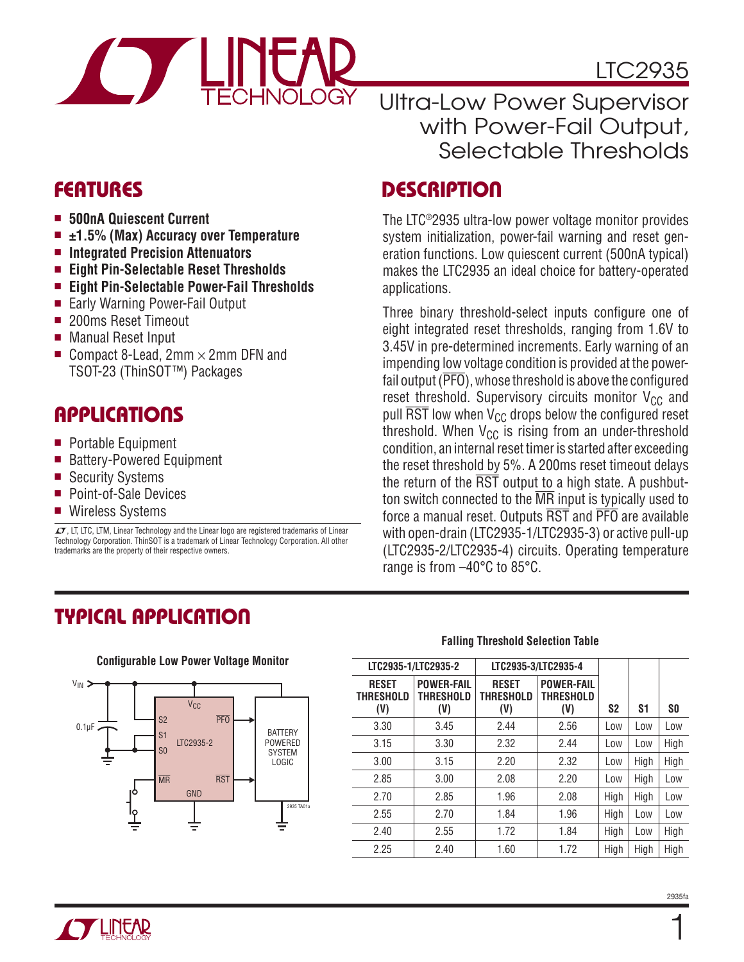

# LTC2935

Ultra-Low Power Supervisor with Power-Fail Output, Selectable Thresholds

### **FEATURES**

- 500nA Quiescent Current
- ±1.5% (Max) Accuracy over Temperature
- **Integrated Precision Attenuators**
- <sup>n</sup> **Eight Pin-Selectable Reset Thresholds**
- Eight Pin-Selectable Power-Fail Thresholds
- Early Warning Power-Fail Output
- 200ms Reset Timeout
- Manual Reset Input
- Gompact 8-Lead,  $2mm \times 2mm$  DFN and TSOT-23 (ThinSOT™) Packages

# **APPLICATIONS**

- Portable Equipment
- Battery-Powered Equipment
- Security Systems
- Point-of-Sale Devices
- Wireless Systems

 $\overline{\mathcal{L}^{\bullet}}$ , LT, LTC, LTM, Linear Technology and the Linear logo are registered trademarks of Linear Technology Corporation. ThinSOT is a trademark of Linear Technology Corporation. All other trademarks are the property of their respective owners.

# **DESCRIPTION**

The LTC®2935 ultra-low power voltage monitor provides system initialization, power-fail warning and reset generation functions. Low quiescent current (500nA typical) makes the LTC2935 an ideal choice for battery-operated applications.

Three binary threshold-select inputs configure one of eight integrated reset thresholds, ranging from 1.6V to 3.45V in pre-determined increments. Early warning of an impending low voltage condition is provided at the powerfail output  $(\overline{PFO})$ , whose threshold is above the configured reset threshold. Supervisory circuits monitor  $V_{CC}$  and pull  $\overline{\text{RST}}$  low when  $V_{CC}$  drops below the configured reset threshold. When  $V_{CC}$  is rising from an under-threshold condition, an internal reset timer is started after exceeding the reset threshold by 5%. A 200ms reset timeout delays the return of the  $\overline{RST}$  output to a high state. A pushbutton switch connected to the MR input is typically used to force a manual reset. Outputs RST and PFO are available with open-drain (LTC2935-1/LTC2935-3) or active pull-up (LTC2935-2/LTC2935-4) circuits. Operating temperature range is from –40°C to 85°C.

### **TYPICAL APPLICATION**



#### **Falling Threshold Selection Table**

|                                         | LTC2935-1/LTC2935-2                          | LTC2935-3/LTC2935-4              |                                       |                |      |           |
|-----------------------------------------|----------------------------------------------|----------------------------------|---------------------------------------|----------------|------|-----------|
| <b>RESET</b><br><b>THRESHOLD</b><br>(V) | <b>POWER-FAIL</b><br><b>THRESHOLD</b><br>(V) | <b>RESET</b><br>THRESHOLD<br>(V) | <b>POWER-FAIL</b><br>THRESHOLD<br>(V) | S <sub>2</sub> | S1   | <b>SO</b> |
| 3.30                                    | 3.45                                         | 2.44                             | 2.56                                  | Low            | Low  | Low       |
| 3.15                                    | 3.30                                         | 2.32                             | 2.44                                  | Low            | Low  | High      |
| 3.00                                    | 3.15                                         | 2.20                             | 2.32                                  | Low            | High | High      |
| 2.85                                    | 3.00                                         | 2.08                             | 2.20                                  | Low            | High | Low       |
| 2.70                                    | 2.85                                         | 1.96                             | 2.08                                  | High           | High | Low       |
| 2.55                                    | 2.70                                         | 1.84                             | 1.96                                  | High           | Low  | Low       |
| 2.40                                    | 2.55                                         | 1.72                             | 1.84                                  | High           | Low  | High      |
| 2.25                                    | 2.40                                         | 1.60                             | 1.72                                  | High           | High | High      |

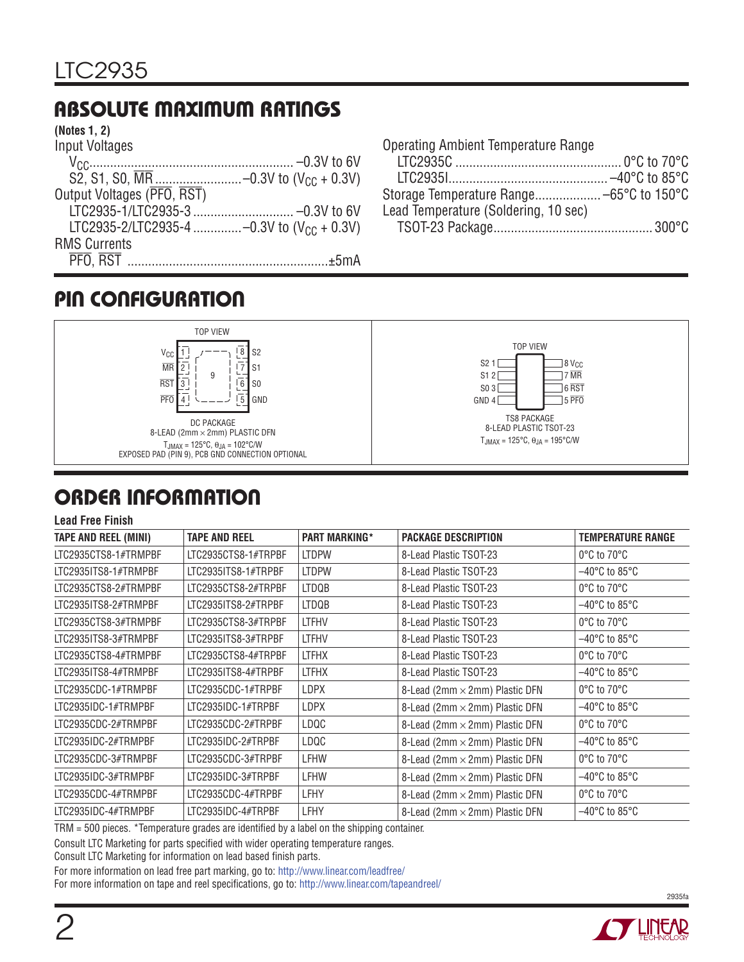# **ABSOLUTE MAXIMUM RATINGS**

#### **(Notes 1, 2)**

| Input Voltages             |                                                |
|----------------------------|------------------------------------------------|
|                            |                                                |
|                            |                                                |
| Output Voltages (PFO, RST) |                                                |
|                            |                                                |
|                            | LTC2935-2/LTC2935-4 -0.3V to $(V_{CC} + 0.3V)$ |
| <b>RMS Currents</b>        |                                                |
|                            |                                                |
|                            |                                                |

| <b>Operating Ambient Temperature Range</b> |  |
|--------------------------------------------|--|
|                                            |  |
|                                            |  |
|                                            |  |
| Lead Temperature (Soldering, 10 sec)       |  |
|                                            |  |

### **PIN CONFIGURATION**



# **ORDER INFORMATION**

#### **Lead Free Finish**

| <b>TAPE AND REEL (MINI)</b> | <b>TAPE AND REEL</b> | <b>PART MARKING*</b> | <b>PACKAGE DESCRIPTION</b>     | <b>TEMPERATURE RANGE</b>           |
|-----------------------------|----------------------|----------------------|--------------------------------|------------------------------------|
| LTC2935CTS8-1#TRMPBF        | LTC2935CTS8-1#TRPBF  | <b>LTDPW</b>         | 8-Lead Plastic TSOT-23         | 0°C to 70°C                        |
| LTC2935ITS8-1#TRMPBF        | LTC2935ITS8-1#TRPBF  | <b>LTDPW</b>         | 8-Lead Plastic TSOT-23         | $-40^{\circ}$ C to 85°C            |
| LTC2935CTS8-2#TRMPBF        | LTC2935CTS8-2#TRPBF  | <b>LTDQB</b>         | 8-Lead Plastic TSOT-23         | 0°C to 70°C                        |
| LTC2935ITS8-2#TRMPBF        | LTC2935ITS8-2#TRPBF  | <b>LTDQB</b>         | 8-Lead Plastic TSOT-23         | $-40^{\circ}$ C to 85°C            |
| LTC2935CTS8-3#TRMPBF        | LTC2935CTS8-3#TRPBF  | <b>LTFHV</b>         | 8-Lead Plastic TSOT-23         | 0°C to 70°C                        |
| LTC2935ITS8-3#TRMPBF        | LTC2935ITS8-3#TRPBF  | <b>LTFHV</b>         | 8-Lead Plastic TSOT-23         | $-40^{\circ}$ C to 85°C            |
| LTC2935CTS8-4#TRMPBF        | LTC2935CTS8-4#TRPBF  | <b>LTFHX</b>         | 8-Lead Plastic TSOT-23         | 0°C to 70°C                        |
| LTC2935ITS8-4#TRMPBF        | LTC2935ITS8-4#TRPBF  | <b>LTFHX</b>         | 8-Lead Plastic TSOT-23         | $-40^{\circ}$ C to 85°C            |
| LTC2935CDC-1#TRMPBF         | LTC2935CDC-1#TRPBF   | <b>LDPX</b>          | 8-Lead (2mm × 2mm) Plastic DFN | 0°C to 70°C                        |
| LTC2935IDC-1#TRMPBF         | LTC2935IDC-1#TRPBF   | <b>LDPX</b>          | 8-Lead (2mm × 2mm) Plastic DFN | $-40^{\circ}$ C to 85°C            |
| LTC2935CDC-2#TRMPBF         | LTC2935CDC-2#TRPBF   | LDQC                 | 8-Lead (2mm × 2mm) Plastic DFN | 0°C to 70°C                        |
| LTC2935IDC-2#TRMPBF         | LTC2935IDC-2#TRPBF   | LDQC                 | 8-Lead (2mm × 2mm) Plastic DFN | $-40^{\circ}$ C to 85°C            |
| LTC2935CDC-3#TRMPBF         | LTC2935CDC-3#TRPBF   | <b>LFHW</b>          | 8-Lead (2mm × 2mm) Plastic DFN | 0°C to 70°C                        |
| LTC2935IDC-3#TRMPBF         | LTC2935IDC-3#TRPBF   | <b>LFHW</b>          | 8-Lead (2mm × 2mm) Plastic DFN | $-40^{\circ}$ C to 85°C            |
| LTC2935CDC-4#TRMPBF         | LTC2935CDC-4#TRPBF   | <b>LFHY</b>          | 8-Lead (2mm × 2mm) Plastic DFN | 0°C to 70°C                        |
| LTC2935IDC-4#TRMPBF         | LTC2935IDC-4#TRPBF   | LFHY                 | 8-Lead (2mm × 2mm) Plastic DFN | $-40^{\circ}$ C to 85 $^{\circ}$ C |

 $TRM = 500$  pieces. \*Temperature grades are identified by a label on the shipping container.

Consult LTC Marketing for parts specified with wider operating temperature ranges.

Consult LTC Marketing for information on lead based finish parts.

For more information on lead free part marking, go to: http://www.linear.com/leadfree/

For more information on tape and reel specifications, go to: http://www.linear.com/tapeandreel/



2935fa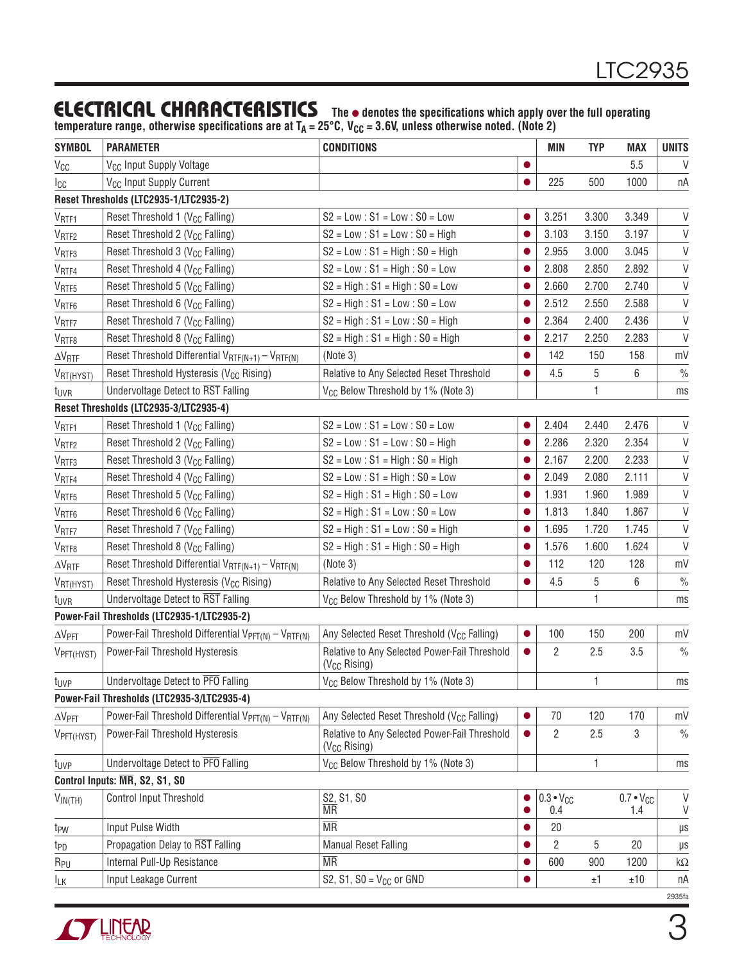#### **ELECTRICAL CHARACTERISTICS** The  $\bullet$  denotes the specifications which apply over the full operating

temperature range, otherwise specifications are at T<sub>A</sub> = 25°C, V<sub>CC</sub> = 3.6V, unless otherwise noted. (Note 2)

| <b>SYMBOL</b>                  | <b>PARAMETER</b>                                                            | <b>CONDITIONS</b>                                                         |           | <b>MIN</b>                | <b>TYP</b> | <b>MAX</b>                | <b>UNITS</b>       |
|--------------------------------|-----------------------------------------------------------------------------|---------------------------------------------------------------------------|-----------|---------------------------|------------|---------------------------|--------------------|
| $V_{CC}$                       | V <sub>CC</sub> Input Supply Voltage                                        |                                                                           | $\bullet$ |                           |            | 5.5                       | V                  |
| Icc                            | V <sub>CC</sub> Input Supply Current                                        |                                                                           | $\bullet$ | 225                       | 500        | 1000                      | пA                 |
|                                | Reset Thresholds (LTC2935-1/LTC2935-2)                                      |                                                                           |           |                           |            |                           |                    |
| V <sub>RTF1</sub>              | Reset Threshold 1 (V <sub>CC</sub> Falling)                                 | $S2 = Low : S1 = Low : SO = Low$                                          |           | 3.251                     | 3.300      | 3.349                     | V                  |
| V <sub>RTF2</sub>              | Reset Threshold 2 (V <sub>CC</sub> Falling)                                 | $S2 = Low : S1 = Low : SO = High$                                         |           | 3.103                     | 3.150      | 3.197                     | $\mathsf V$        |
| V <sub>RTF3</sub>              | Reset Threshold 3 (V <sub>CC</sub> Falling)                                 | $S2 = Low : S1 = High : SO = High$                                        |           | 2.955                     | 3.000      | 3.045                     | $\mathsf V$        |
| V <sub>RTF4</sub>              | Reset Threshold 4 (V <sub>CC</sub> Falling)                                 | $S2 = Low : S1 = High : SO = Low$                                         | $\bullet$ | 2.808                     | 2.850      | 2.892                     | $\mathsf{V}$       |
| $\rm V_{RTF5}$                 | Reset Threshold 5 (V <sub>CC</sub> Falling)                                 | $S2 = High : S1 = High : SO = Low$                                        |           | 2.660                     | 2.700      | 2.740                     | $\mathsf{V}$       |
| V <sub>RTF6</sub>              | Reset Threshold 6 (V <sub>CC</sub> Falling)                                 | $S2 = High : S1 = Low : SO = Low$                                         |           | 2.512                     | 2.550      | 2.588                     | $\mathsf{V}$       |
| $V_{\text{RTEZ}}$              | Reset Threshold 7 (V <sub>CC</sub> Falling)                                 | $S2 = High : S1 = Low : SO = High$                                        | $\bullet$ | 2.364                     | 2.400      | 2.436                     | $\vee$             |
| V <sub>RTF8</sub>              | Reset Threshold 8 (V <sub>CC</sub> Falling)                                 | $S2 = High : S1 = High : SO = High$                                       |           | 2.217                     | 2.250      | 2.283                     | $\vee$             |
| $\Delta V_{\text{RTF}}$        | Reset Threshold Differential $V_{RTF(N+1)} - V_{RTF(N)}$                    | (Note 3)                                                                  | $\bullet$ | 142                       | 150        | 158                       | mV                 |
| VRT(HYST)                      | Reset Threshold Hysteresis (V <sub>CC</sub> Rising)                         | Relative to Any Selected Reset Threshold                                  |           | 4.5                       | 5          | 6                         | $\frac{0}{0}$      |
| t <sub>UVR</sub>               | Undervoltage Detect to RST Falling                                          | V <sub>CC</sub> Below Threshold by 1% (Note 3)                            |           |                           | 1          |                           | ms                 |
|                                | Reset Thresholds (LTC2935-3/LTC2935-4)                                      |                                                                           |           |                           |            |                           |                    |
| V <sub>RTF1</sub>              | Reset Threshold 1 (V <sub>CC</sub> Falling)                                 | $S2 = Low : S1 = Low : SO = Low$                                          |           | 2.404                     | 2.440      | 2.476                     | V                  |
| V <sub>RTF2</sub>              | Reset Threshold 2 (V <sub>CC</sub> Falling)                                 | $S2 = Low : S1 = Low : SO = High$                                         |           | 2.286                     | 2.320      | 2.354                     | $\mathsf{V}$       |
| $V_{\sf RTF3}$                 | Reset Threshold 3 (V <sub>CC</sub> Falling)                                 | $S2 = Low : S1 = High : SO = High$                                        |           | 2.167                     | 2.200      | 2.233                     | $\mathsf V$        |
| V <sub>RTF4</sub>              | Reset Threshold 4 (V <sub>CC</sub> Falling)                                 | $S2 = Low : S1 = High : SO = Low$                                         |           | 2.049                     | 2.080      | 2.111                     | $\mathsf V$        |
| V <sub>RTF5</sub>              | Reset Threshold 5 (V <sub>CC</sub> Falling)                                 | $S2 = High : S1 = High : SO = Low$                                        | $\bullet$ | 1.931                     | 1.960      | 1.989                     | $\mathsf{V}$       |
| V <sub>RTF6</sub>              | Reset Threshold 6 (V <sub>CC</sub> Falling)                                 | $S2 = High : S1 = Low : S0 = Low$                                         |           | 1.813                     | 1.840      | 1.867                     | $\mathsf{V}$       |
| V <sub>RTF7</sub>              | Reset Threshold 7 (V <sub>CC</sub> Falling)                                 | $S2 = High : S1 = Low : SO = High$                                        |           | 1.695                     | 1.720      | 1.745                     | $\vee$             |
| V <sub>RTF8</sub>              | Reset Threshold 8 (V <sub>CC</sub> Falling)                                 | $S2 = High : S1 = High : SO = High$                                       | $\bullet$ | 1.576                     | 1.600      | 1.624                     | $\vee$             |
| $\Delta V_{\text{RTF}}$        | Reset Threshold Differential $V_{RTF(N+1)} - V_{RTF(N)}$                    | (Note 3)                                                                  |           | 112                       | 120        | 128                       | mV                 |
| VRT(HYST)                      | Reset Threshold Hysteresis (V <sub>CC</sub> Rising)                         | Relative to Any Selected Reset Threshold                                  | $\bullet$ | 4.5                       | 5          | 6                         | $\frac{0}{0}$      |
| t <sub>UVR</sub>               | Undervoltage Detect to RST Falling                                          | V <sub>CC</sub> Below Threshold by 1% (Note 3)                            |           |                           | 1          |                           | ms                 |
|                                | Power-Fail Thresholds (LTC2935-1/LTC2935-2)                                 |                                                                           |           |                           |            |                           |                    |
| $\Delta V$ PFT                 | Power-Fail Threshold Differential $V_{PFT(N)} - V_{RTF(N)}$                 | Any Selected Reset Threshold (V <sub>CC</sub> Falling)                    |           | 100                       | 150        | 200                       | mV                 |
| VPFT (HYST)                    | Power-Fail Threshold Hysteresis                                             | Relative to Any Selected Power-Fail Threshold<br>$(V_{CC}$ Rising)        |           | 2                         | 2.5        | 3.5                       | $\frac{0}{0}$      |
| t <sub>UVP</sub>               | Undervoltage Detect to PFO Falling                                          | V <sub>CC</sub> Below Threshold by 1% (Note 3)                            |           |                           | 1          |                           | ms                 |
|                                | Power-Fail Thresholds (LTC2935-3/LTC2935-4)                                 |                                                                           |           |                           |            |                           |                    |
| $\Delta V$ PFT                 | Power-Fail Threshold Differential V <sub>PFT(N)</sub> - V <sub>RTF(N)</sub> | Any Selected Reset Threshold (V <sub>CC</sub> Falling)                    |           | 70                        | 120        | 170                       | mV                 |
| VPFT(HYST)                     | Power-Fail Threshold Hysteresis                                             | Relative to Any Selected Power-Fail Threshold<br>(V <sub>CC</sub> Rising) | $\bullet$ | 2                         | 2.5        | 3                         | $\frac{0}{0}$      |
| t <sub>UVP</sub>               | Undervoltage Detect to PFO Falling                                          | V <sub>CC</sub> Below Threshold by 1% (Note 3)                            |           |                           | 1          |                           | ms                 |
| Control Inputs: MR, S2, S1, S0 |                                                                             |                                                                           |           |                           |            |                           |                    |
| $V_{IN(TH)}$                   | Control Input Threshold                                                     | S2, S1, S0<br><b>MR</b>                                                   |           | $0.3 \cdot V_{CC}$<br>0.4 |            | $0.7 \cdot V_{CC}$<br>1.4 | V<br>V             |
| t <sub>PW</sub>                | Input Pulse Width                                                           | <b>MR</b>                                                                 |           | 20                        |            |                           | $\mu\text{s}$      |
| t <sub>PD</sub>                | Propagation Delay to RST Falling                                            | <b>Manual Reset Falling</b>                                               |           | $\overline{2}$            | 5          | 20                        | $\mu\text{s}$      |
| $R_{PU}$                       | Internal Pull-Up Resistance                                                 | <b>MR</b>                                                                 |           | 600                       | 900        | 1200                      | $\mathsf{k}\Omega$ |
| $I_{LK}$                       | Input Leakage Current                                                       | S2, S1, S0 = $V_{CC}$ or GND                                              |           |                           | ±1         | ±10                       | пA                 |
|                                |                                                                             |                                                                           |           |                           |            |                           | 2935fa             |

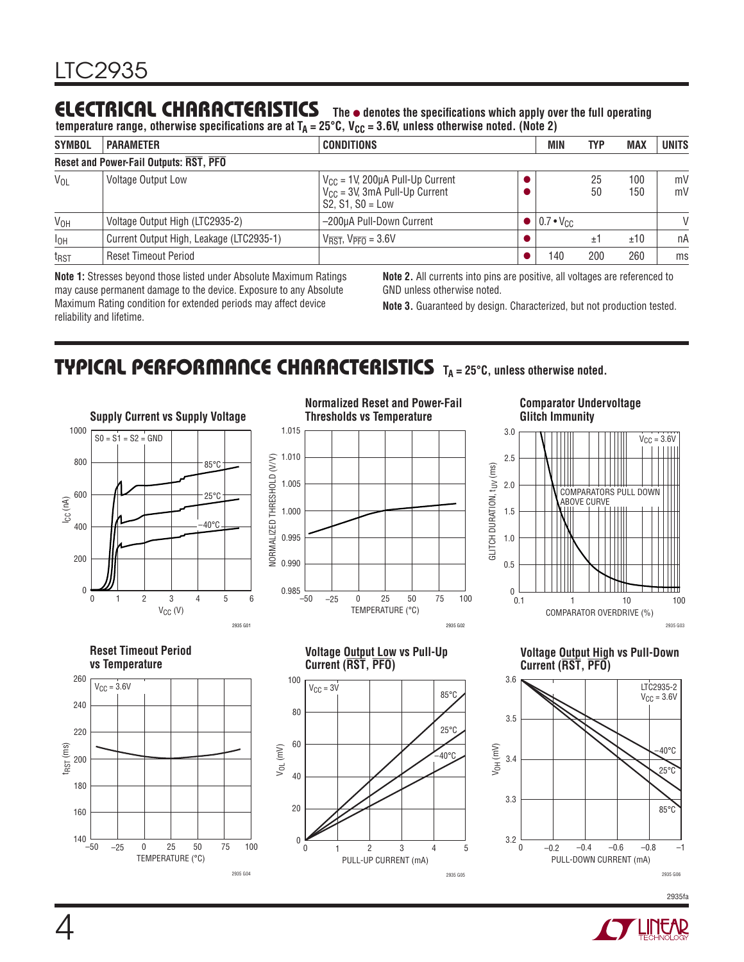# **ELECTRICAL CHARACTERISTICS** The  $\bullet$  denotes the specifications which apply over the full operating

temperature range, otherwise specifications are at T<sub>A</sub> = 25°C, V<sub>CC</sub> = 3.6V, unless otherwise noted. (Note 2)

| <b>SYMBOL</b>   | <b>PARAMETER</b>                         | <b>CONDITIONS</b>                                                                                | MIN                | <b>TYP</b> | <b>MAX</b> | <b>UNITS</b>  |
|-----------------|------------------------------------------|--------------------------------------------------------------------------------------------------|--------------------|------------|------------|---------------|
|                 | Reset and Power-Fail Outputs: RST, PFO   |                                                                                                  |                    |            |            |               |
| $V_{OL}$        | <b>Voltage Output Low</b>                | $V_{CC}$ = 1V, 200µA Pull-Up Current<br>$V_{CC}$ = 3V, 3mA Pull-Up Current<br>$S2, S1, S0 = Low$ |                    | 25<br>50   | 100<br>150 | mV<br>mV      |
| V <sub>OH</sub> | Voltage Output High (LTC2935-2)          | -200µA Pull-Down Current                                                                         | $10.7 \cdot V_{C}$ |            |            | $\mathcal{U}$ |
| $I_{OH}$        | Current Output High, Leakage (LTC2935-1) | $V_{\overline{RST}}$ , $V_{\overline{PFO}} = 3.6V$                                               |                    | Ŧ.         | ±10        | nA            |
| $t_{RST}$       | <b>Reset Timeout Period</b>              |                                                                                                  | 140                | 200        | 260        | ms            |

**Note 1:** Stresses beyond those listed under Absolute Maximum Ratings may cause permanent damage to the device. Exposure to any Absolute Maximum Rating condition for extended periods may affect device reliability and lifetime.

**Note 2.** All currents into pins are positive, all voltages are referenced to GND unless otherwise noted.

**Note 3.** Guaranteed by design. Characterized, but not production tested.

#### **TYPICAL PERFORMANCE CHARACTERISTICS TA = 25°C, unless otherwise noted.**



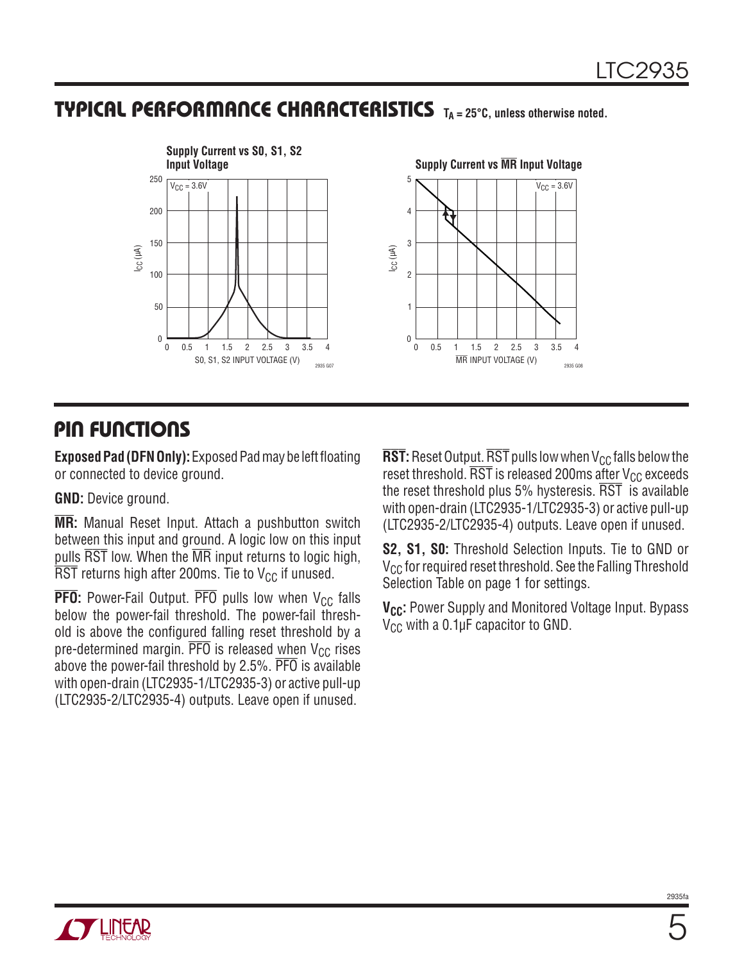### **TYPICAL PERFORMANCE CHARACTERISTICS TA = 25°C, unless otherwise noted.**



#### **PIN FUNCTIONS**

**Exposed Pad (DFN Only):** Exposed Pad may be left floating or connected to device ground.

**GND:** Device ground.

**MR:** Manual Reset Input. Attach a pushbutton switch between this input and ground. A logic low on this input pulls  $\overline{\text{RST}}$  low. When the  $\overline{\text{MR}}$  input returns to logic high,  $\overline{\text{RST}}$  returns high after 200ms. Tie to V<sub>CC</sub> if unused.

**PFO**: Power-Fail Output.  $\overline{PFO}$  pulls low when  $V_{CC}$  falls below the power-fail threshold. The power-fail threshold is above the configured falling reset threshold by a pre-determined margin.  $\overline{PFO}$  is released when  $V_{CC}$  rises above the power-fail threshold by 2.5%. PFO is available with open-drain (LTC2935-1/LTC2935-3) or active pull-up (LTC2935-2/LTC2935-4) outputs. Leave open if unused.

**RST**: Reset Output. RST pulls low when  $V_{CC}$  falls below the reset threshold.  $\overline{\text{RST}}$  is released 200ms after  $\text{V}_{\text{CC}}$  exceeds the reset threshold plus 5% hysteresis.  $\overline{\text{RST}}$  is available with open-drain (LTC2935-1/LTC2935-3) or active pull-up (LTC2935-2/LTC2935-4) outputs. Leave open if unused.

**S2, S1, S0:** Threshold Selection Inputs. Tie to GND or V<sub>CC</sub> for required reset threshold. See the Falling Threshold Selection Table on page 1 for settings.

**V<sub>CC</sub>:** Power Supply and Monitored Voltage Input. Bypass  $V_{CC}$  with a 0.1µF capacitor to GND.

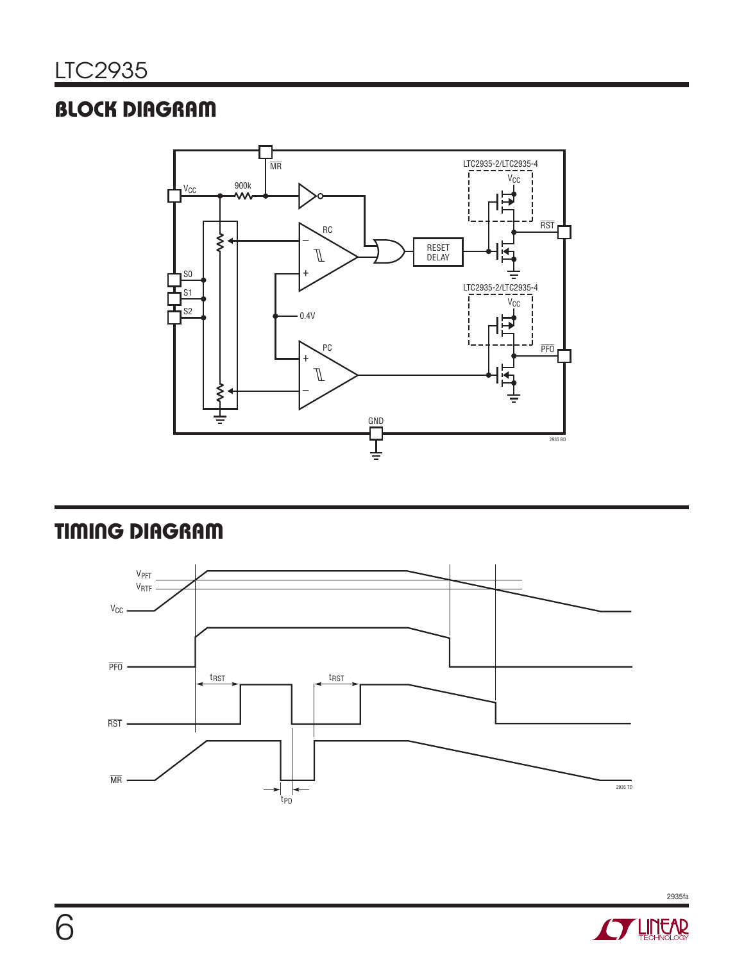# **BLOCK DIAGRAM**



# **TIMING DIAGRAM**



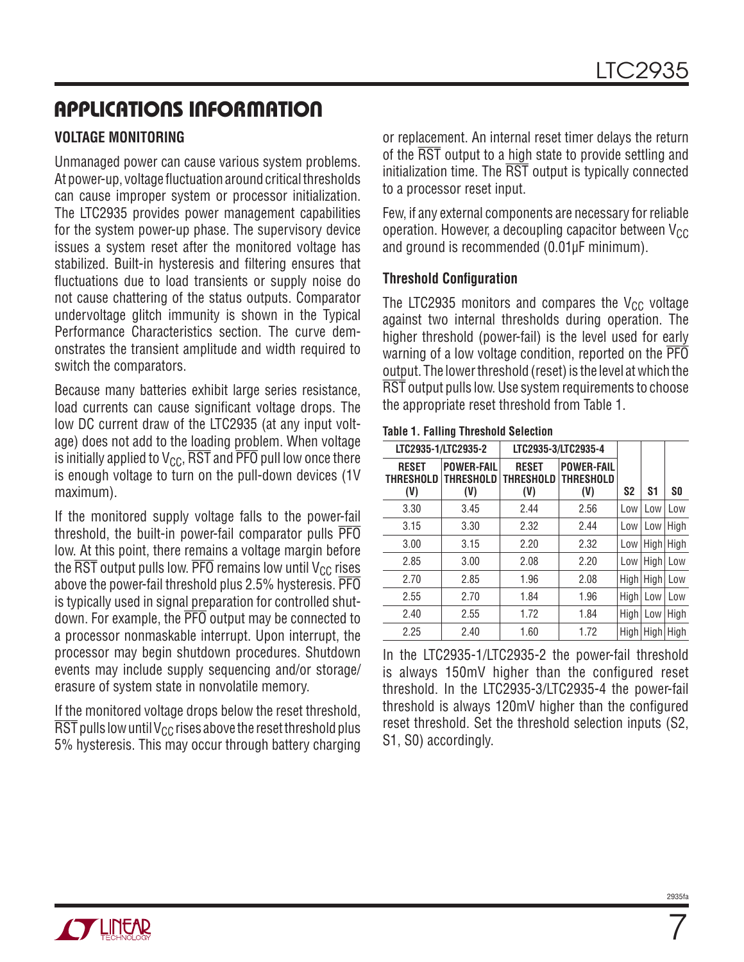# **APPLICATIONS INFORMATION**

#### **VOLTAGE MONITORING**

Unmanaged power can cause various system problems. At power-up, voltage fluctuation around critical thresholds can cause improper system or processor initialization. The LTC2935 provides power management capabilities for the system power-up phase. The supervisory device issues a system reset after the monitored voltage has stabilized. Built-in hysteresis and filtering ensures that fluctuations due to load transients or supply noise do not cause chattering of the status outputs. Comparator undervoltage glitch immunity is shown in the Typical Performance Characteristics section. The curve demonstrates the transient amplitude and width required to switch the comparators.

Because many batteries exhibit large series resistance, load currents can cause significant voltage drops. The low DC current draw of the LTC2935 (at any input voltage) does not add to the loading problem. When voltage is initially applied to  $V_{CC}$ ,  $\overline{RST}$  and  $\overline{PFO}$  pull low once there is enough voltage to turn on the pull-down devices (1V maximum).

If the monitored supply voltage falls to the power-fail threshold, the built-in power-fail comparator pulls PFO low. At this point, there remains a voltage margin before the  $\overline{\text{RST}}$  output pulls low.  $\overline{\text{PFO}}$  remains low until  $V_{CC}$  rises above the power-fail threshold plus 2.5% hysteresis. PFO is typically used in signal preparation for controlled shutdown. For example, the PFO output may be connected to a processor nonmaskable interrupt. Upon interrupt, the processor may begin shutdown procedures. Shutdown events may include supply sequencing and/or storage/ erasure of system state in nonvolatile memory.

If the monitored voltage drops below the reset threshold,  $\overline{\text{RST}}$  pulls low until V<sub>CC</sub> rises above the reset threshold plus 5% hysteresis. This may occur through battery charging or replacement. An internal reset timer delays the return of the RST output to a high state to provide settling and initialization time. The RST output is typically connected to a processor reset input.

Few, if any external components are necessary for reliable operation. However, a decoupling capacitor between  $V_{CC}$ and ground is recommended (0.01μF minimum).

#### **Threshold Configuration**

The LTC2935 monitors and compares the  $V_{CC}$  voltage against two internal thresholds during operation. The higher threshold (power-fail) is the level used for early warning of a low voltage condition, reported on the  $\overline{PP}$ output. The lower threshold (reset) is the level at which the RST output pulls low. Use system requirements to choose the appropriate reset threshold from Table 1.

#### **Table 1. Falling Threshold Selection**

| LTC2935-1/LTC2935-2                     |                                              | LTC2935-3/LTC2935-4                     |                                       |                |                |           |
|-----------------------------------------|----------------------------------------------|-----------------------------------------|---------------------------------------|----------------|----------------|-----------|
| <b>RESET</b><br><b>THRESHOLD</b><br>(V) | <b>POWER-FAIL</b><br><b>THRESHOLD</b><br>(V) | <b>RESET</b><br><b>THRESHOLD</b><br>(V) | <b>POWER-FAIL</b><br>THRESHOLD<br>(V) | S <sub>2</sub> | S <sub>1</sub> | <b>SO</b> |
| 3.30                                    | 3.45                                         | 2.44                                    | 2.56                                  | Low            | Low            | Low       |
| 3.15                                    | 3.30                                         | 2.32                                    | 2.44                                  | Low            | Low            | High      |
| 3.00                                    | 3.15                                         | 2.20                                    | 2.32                                  | Low            | High           | High      |
| 2.85                                    | 3.00                                         | 2.08                                    | 2.20                                  | Low            | High           | Low       |
| 2.70                                    | 2.85                                         | 1.96                                    | 2.08                                  | High           | High           | Low       |
| 2.55                                    | 2.70                                         | 1.84                                    | 1.96                                  | High           | Low            | Low       |
| 2.40                                    | 2.55                                         | 1.72                                    | 1.84                                  | High           | Low            | High      |
| 2.25                                    | 2.40                                         | 1.60                                    | 1.72                                  | High           | High           | High      |

In the LTC2935-1/LTC2935-2 the power-fail threshold is always 150mV higher than the configured reset threshold. In the LTC2935-3/LTC2935-4 the power-fail threshold is always 120mV higher than the configured reset threshold. Set the threshold selection inputs (S2, S1, S0) accordingly.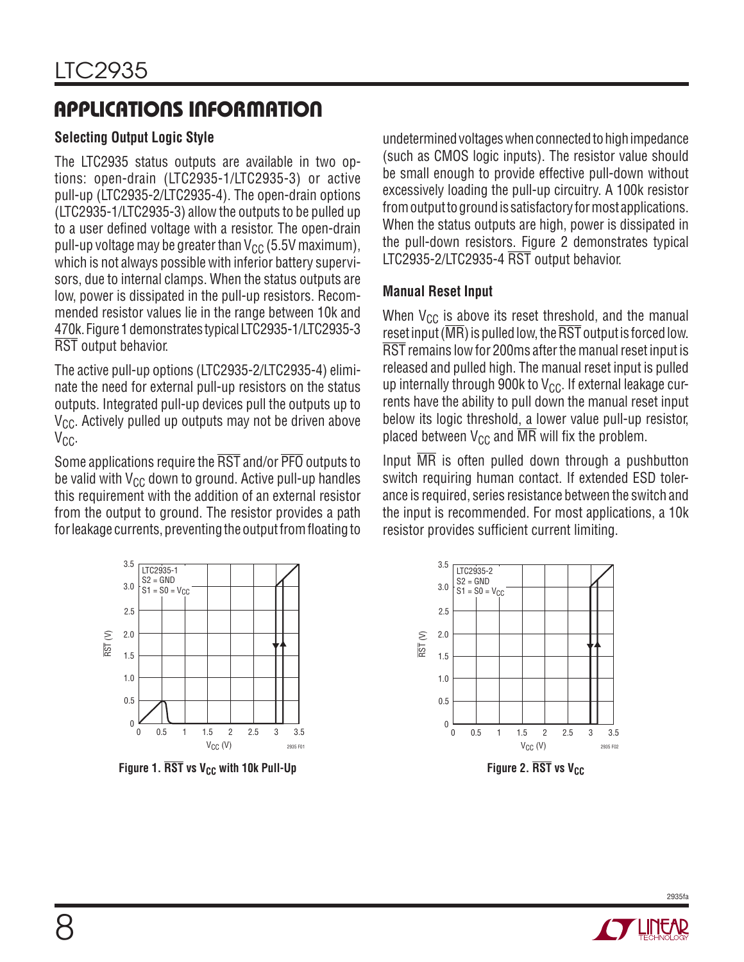# **APPLICATIONS INFORMATION**

#### **Selecting Output Logic Style**

The LTC2935 status outputs are available in two options: open-drain (LTC2935-1/LTC2935-3) or active pull-up (LTC2935-2/LTC2935-4). The open-drain options (LTC2935-1/LTC2935-3) allow the outputs to be pulled up to a user defined voltage with a resistor. The open-drain pull-up voltage may be greater than  $V_{CC}$  (5.5V maximum), which is not always possible with inferior battery supervisors, due to internal clamps. When the status outputs are low, power is dissipated in the pull-up resistors. Recommended resistor values lie in the range between 10k and 470k. Figure 1 demonstrates typical LTC2935-1/LTC2935-3 RST output behavior.

The active pull-up options (LTC2935-2/LTC2935-4) eliminate the need for external pull-up resistors on the status outputs. Integrated pull-up devices pull the outputs up to  $V_{CC}$ . Actively pulled up outputs may not be driven above  $V_{C}$ .

Some applications require the RST and/or PFO outputs to be valid with  $V_{CC}$  down to ground. Active pull-up handles this requirement with the addition of an external resistor from the output to ground. The resistor provides a path for leakage currents, preventing the output from floating to undetermined voltages when connected to high impedance (such as CMOS logic inputs). The resistor value should be small enough to provide effective pull-down without excessively loading the pull-up circuitry. A 100k resistor from output to ground is satisfactory for most applications. When the status outputs are high, power is dissipated in the pull-down resistors. Figure 2 demonstrates typical LTC2935-2/LTC2935-4 RST output behavior.

#### **Manual Reset Input**

When  $V_{CC}$  is above its reset threshold, and the manual reset input ( $\overline{\text{MR}}$ ) is pulled low, the  $\overline{\text{RST}}$  output is forced low. RST remains low for 200ms after the manual reset input is released and pulled high. The manual reset input is pulled up internally through 900k to  $V_{CC}$ . If external leakage currents have the ability to pull down the manual reset input below its logic threshold, a lower value pull-up resistor, placed between  $V_{CC}$  and  $\overline{MR}$  will fix the problem.

Input  $\overline{\text{MR}}$  is often pulled down through a pushbutton switch requiring human contact. If extended ESD tolerance is required, series resistance between the switch and the input is recommended. For most applications, a 10k resistor provides sufficient current limiting.



**Figure 1. RST** vs V<sub>CC</sub> with 10k Pull-Up



**Figure 2. RST** vs V<sub>CC</sub>



2935fa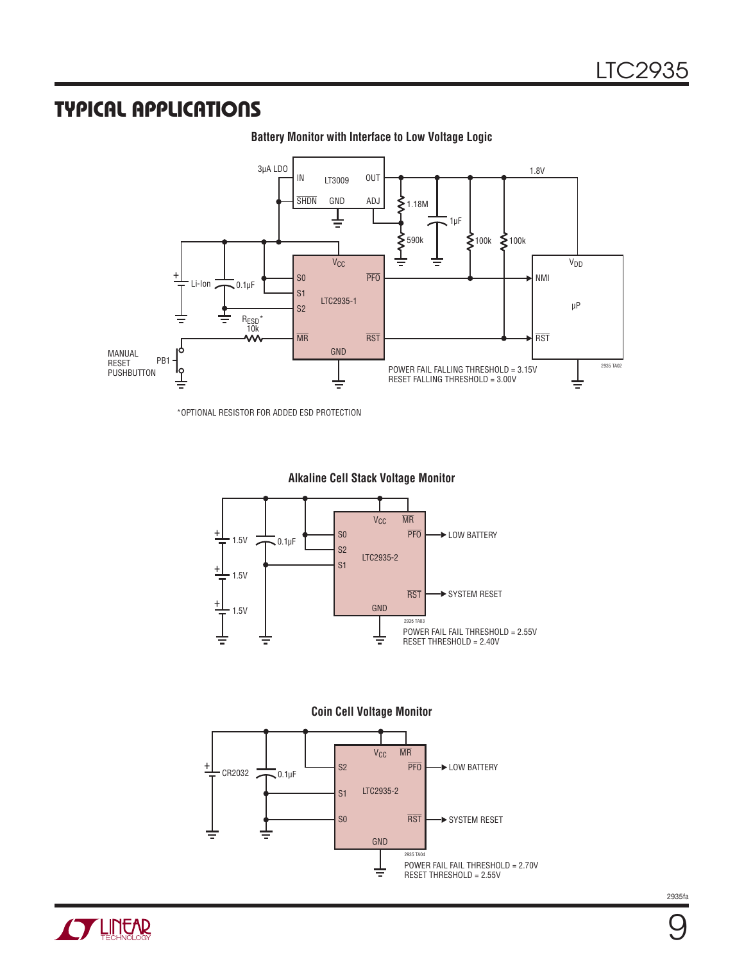#### **TYPICAL APPLICATIONS**



**Battery Monitor with Interface to Low Voltage Logic**

\*OPTIONAL RESISTOR FOR ADDED ESD PROTECTION



**Alkaline Cell Stack Voltage Monitor**



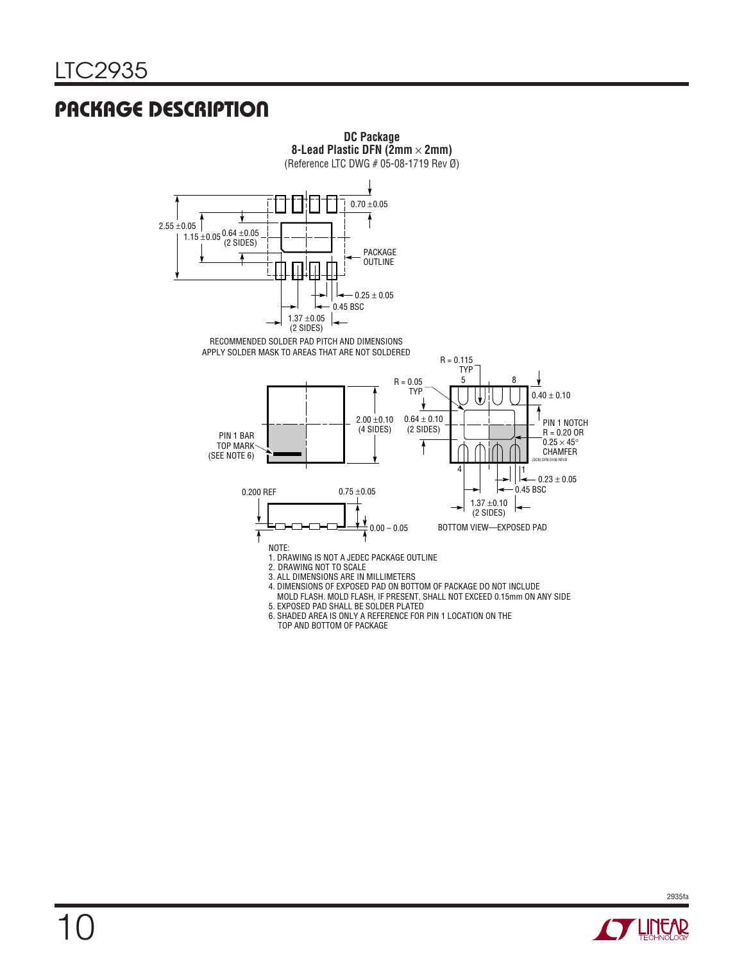# **PACKAGE DESCRIPTION**



TOP AND BOTTOM OF PACKAGE

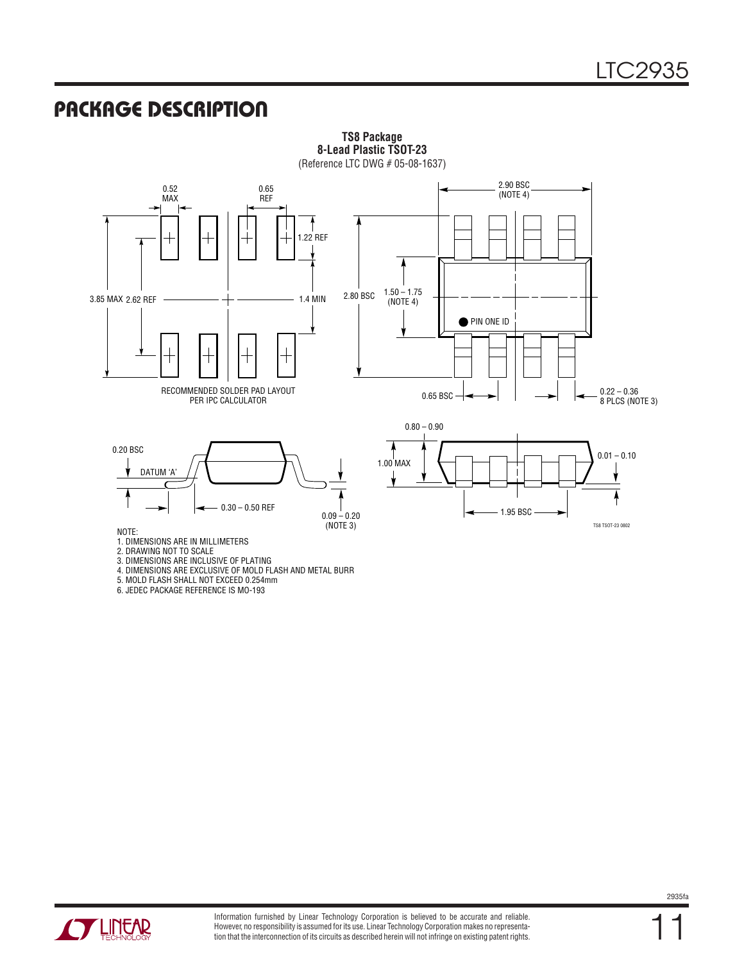#### **PACKAGE DESCRIPTION**



**TS8 Package 8-Lead Plastic TSOT-23**

1. DIMENSIONS ARE IN MILLIMETERS

2. DRAWING NOT TO SCALE

3. DIMENSIONS ARE INCLUSIVE OF PLATING

4. DIMENSIONS ARE EXCLUSIVE OF MOLD FLASH AND METAL BURR

5. MOLD FLASH SHALL NOT EXCEED 0.254mm

6. JEDEC PACKAGE REFERENCE IS MO-193

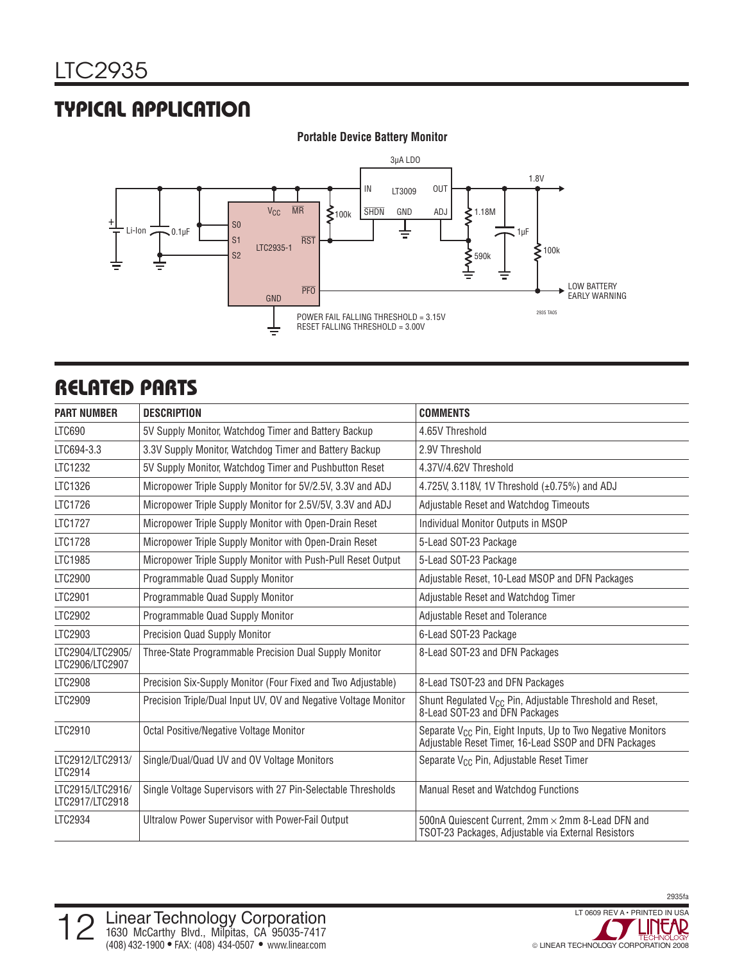### **TYPICAL APPLICATION**



#### **Portable Device Battery Monitor**

# **RELATED PARTS**

| <b>PART NUMBER</b>                  | <b>DESCRIPTION</b>                                              | <b>COMMENTS</b>                                                                                                                  |
|-------------------------------------|-----------------------------------------------------------------|----------------------------------------------------------------------------------------------------------------------------------|
| LTC690                              | 5V Supply Monitor, Watchdog Timer and Battery Backup            | 4.65V Threshold                                                                                                                  |
| LTC694-3.3                          | 3.3V Supply Monitor, Watchdog Timer and Battery Backup          | 2.9V Threshold                                                                                                                   |
| LTC1232                             | 5V Supply Monitor, Watchdog Timer and Pushbutton Reset          | 4.37V/4.62V Threshold                                                                                                            |
| LTC1326                             | Micropower Triple Supply Monitor for 5V/2.5V, 3.3V and ADJ      | 4.725V, 3.118V, 1V Threshold (±0.75%) and ADJ                                                                                    |
| LTC1726                             | Micropower Triple Supply Monitor for 2.5V/5V, 3.3V and ADJ      | Adjustable Reset and Watchdog Timeouts                                                                                           |
| <b>LTC1727</b>                      | Micropower Triple Supply Monitor with Open-Drain Reset          | Individual Monitor Outputs in MSOP                                                                                               |
| <b>LTC1728</b>                      | Micropower Triple Supply Monitor with Open-Drain Reset          | 5-Lead SOT-23 Package                                                                                                            |
| LTC1985                             | Micropower Triple Supply Monitor with Push-Pull Reset Output    | 5-Lead SOT-23 Package                                                                                                            |
| <b>LTC2900</b>                      | Programmable Quad Supply Monitor                                | Adjustable Reset, 10-Lead MSOP and DFN Packages                                                                                  |
| LTC2901                             | Programmable Quad Supply Monitor                                | Adjustable Reset and Watchdog Timer                                                                                              |
| LTC2902                             | Programmable Quad Supply Monitor                                | Adjustable Reset and Tolerance                                                                                                   |
| LTC2903                             | Precision Quad Supply Monitor                                   | 6-Lead SOT-23 Package                                                                                                            |
| LTC2904/LTC2905/<br>LTC2906/LTC2907 | Three-State Programmable Precision Dual Supply Monitor          | 8-Lead SOT-23 and DFN Packages                                                                                                   |
| <b>LTC2908</b>                      | Precision Six-Supply Monitor (Four Fixed and Two Adjustable)    | 8-Lead TSOT-23 and DFN Packages                                                                                                  |
| LTC2909                             | Precision Triple/Dual Input UV, OV and Negative Voltage Monitor | Shunt Regulated V <sub>CC</sub> Pin, Adjustable Threshold and Reset,<br>8-Lead SOT-23 and DFN Packages                           |
| LTC2910                             | Octal Positive/Negative Voltage Monitor                         | Separate V <sub>CC</sub> Pin, Eight Inputs, Up to Two Negative Monitors<br>Adjustable Reset Timer, 16-Lead SSOP and DFN Packages |
| LTC2912/LTC2913/<br>LTC2914         | Single/Dual/Quad UV and OV Voltage Monitors                     | Separate V <sub>CC</sub> Pin, Adjustable Reset Timer                                                                             |
| LTC2915/LTC2916/<br>LTC2917/LTC2918 | Single Voltage Supervisors with 27 Pin-Selectable Thresholds    | Manual Reset and Watchdog Functions                                                                                              |
| LTC2934                             | <b>Ultralow Power Supervisor with Power-Fail Output</b>         | 500nA Quiescent Current, 2mm × 2mm 8-Lead DFN and<br>TSOT-23 Packages, Adjustable via External Resistors                         |